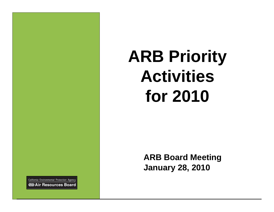# **ARB Priority Activities for 2010**

**ARB Board MeetingJanuary 28, 2010**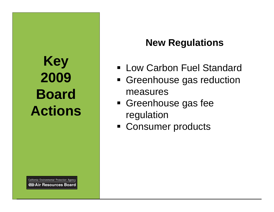## **Key 2009 Board Actions**

**New Regulations**

- Low Carbon Fuel Standard
- Greenhouse gas reduction measures
- Greenhouse gas fee regulation
- Consumer products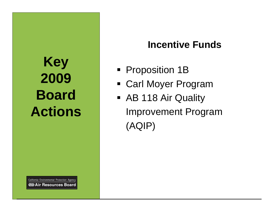### **Key 2009 Board Actions**

#### **Incentive Funds**

- Proposition 1B
- Carl Moyer Program
- AB 118 Air Quality Improvement Program (AQIP)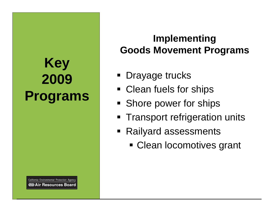## **Key 2009 Programs**

California Environmental Protection Agency **⊘DAir Resources Board** 

#### **Implementing Goods Movement Programs**

- **Drayage trucks**
- Clean fuels for ships
- Shore power for ships
- **Transport refrigeration units**
- Railyard assessments
	- Clean locomotives grant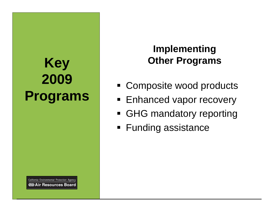## **Key 2009 Programs**

California Environmental Protection Agency **OD** Air Resources Board

#### **Implementing Other Programs**

- Composite wood products
- Enhanced vapor recovery
- GHG mandatory reporting
- Funding assistance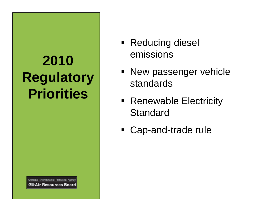# **2010 Regulatory Priorities**

- Reducing diesel emissions
- New passenger vehicle standards
- Renewable Electricity **Standard**
- Cap-and-trade rule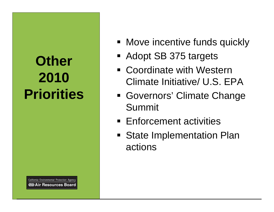## **Other 2010 Priorities**

- **Move incentive funds quickly**
- Adopt SB 375 targets
- Coordinate with Western Climate Initiative/ U.S. EPA
- Governors' Climate Change Summit
- Enforcement activities
- **State Implementation Plan** actions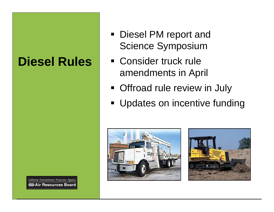#### **Diesel Rules**

- Diesel PM report and Science Symposium
- Consider truck rule amendments in April
- **Offroad rule review in July**
- **Updates on incentive funding**



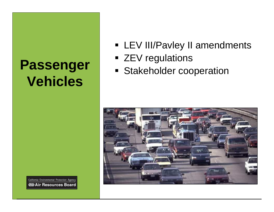#### **Passenger Vehicles**

**EV III/Pavley II amendments** 

- ZEV regulations
- **Stakeholder cooperation**

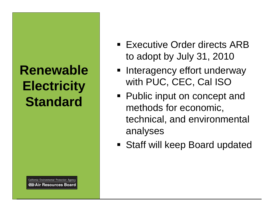#### **Renewable Electricity Standard**

- **Executive Order directs ARB** to adopt by July 31, 2010
- **Interagency effort underway** with PUC, CEC, Cal ISO
- Public input on concept and methods for economic, technical, and environmental analyses
- **Staff will keep Board updated**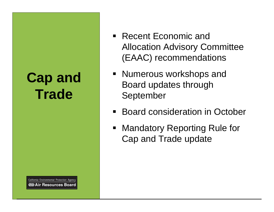#### **Cap and Trade**

- Recent Economic and Allocation Advisory Committee (EAAC) recommendations
- Numerous workshops and Board updates through September
- Board consideration in October
- Mandatory Reporting Rule for Cap and Trade update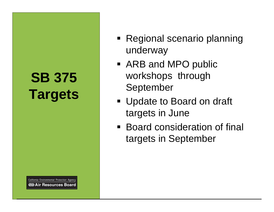### **SB 375 Targets**

- Regional scenario planning underway
- ARB and MPO public workshops through September
- Update to Board on draft targets in June
- Board consideration of final targets in September